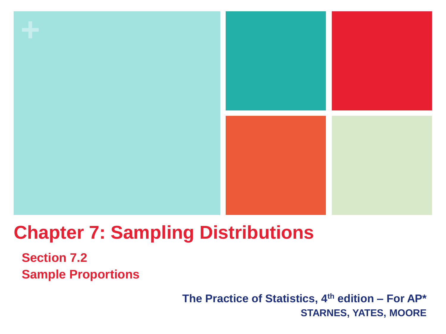

# **Chapter 7: Sampling Distributions**

**Section 7.2 Sample Proportions**

> **The Practice of Statistics, 4th edition – For AP\* STARNES, YATES, MOORE**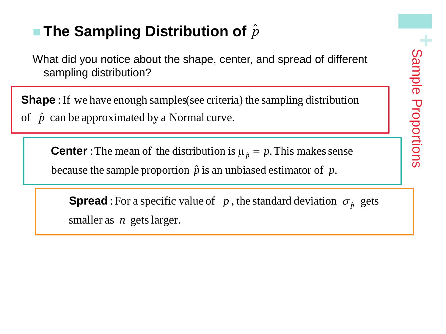## ■ The Sampling Distribution of  $\hat{p}$

What did you notice about the shape, center, and spread of different sampling distribution?

Shape : If we have enough samples(see criteria) the sampling distribution  $\begin{array}{c} \hline \end{array}$ of  $\hat{p}$  can be approximated by a Normal curve.

**Center**: The mean of the distribution is  $\mu_{\hat{p}} = p$ . This makes sense because the sample proportion  $\hat{p}$  is an unbiased estimator of  $p$ .

 $s$  maller as  $n$  gets larger. **Spread**: For a specific value of  $p$ , the standard deviation  $\sigma_{\hat{p}}$  gets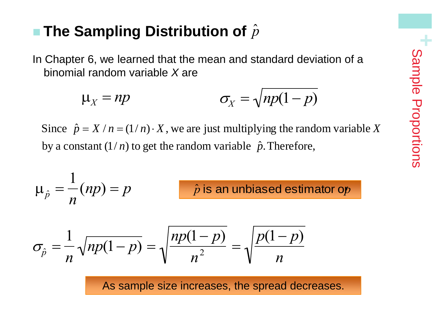### ■ The Sampling Distribution of  $\hat{p}$

In Chapter 6, we learned that the mean and standard deviation of a binomial random variable *X* are

$$
\mu_X = np \qquad \qquad \sigma_X = \sqrt{np(1-p)}
$$

by a constant  $(1/n)$  to get the random variable  $\hat{p}$ . Therefore, Since  $\hat{p} = X / n = (1/n) \cdot X$ , we are just multiplying the random variable X  $\bigcirc$ 

$$
\mu_{\hat{p}} = \frac{1}{n}(np) = p
$$
 *ilde p is an unbiased estimator of p*

$$
\sigma_{\hat{p}} = \frac{1}{n} \sqrt{np(1-p)} = \sqrt{\frac{np(1-p)}{n^2}} = \sqrt{\frac{p(1-p)}{n}}
$$

As sample size increases, the spread decreases.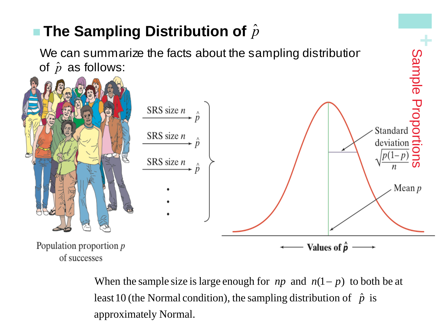

approximately Normal. least 10 (the Normal condition), the sampling distribution of  $\hat{p}$  is When the sample size is large enough for  $np$  and  $n(1 - p)$  to both be at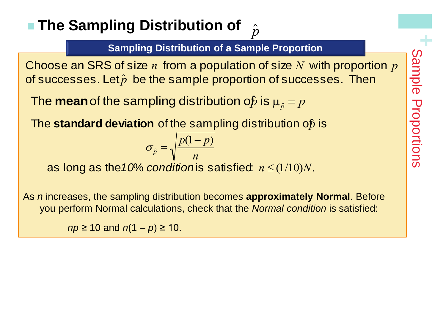#### **The Sampling Distribution of**  $\hat{p}$

**Sampling Distribution of a Sample Proportion**

of successes. Let $\hat{p}$  be the sample proportion of successes. Then Choose an SRS of size *n* from a population of size *N* with proportion *p* Solve an SRS of size *n* from a population of size *N* with proportion *p*<br>  $\frac{0}{2}$ <br>  $\frac{1}{2}$ <br> **e mean** of the sampling distribution of is  $\mu_{\hat{p}} = p$ <br> **e standard deviation** of the sampling distribution of is<br>  $\$ 

The **mean** of the sampling distribution of *p* is  $\mu_{\hat{p}} = p$ 

The **standard deviation** of the sampling distribution of *is* 

$$
\sigma_{\hat{p}} = \sqrt{\frac{p(1-p)}{n}}
$$

As *n* increases, the sampling distribution becomes **approximately Normal**. Before you perform Normal calculations, check that the *Normal condition* is satisfied:

*np* ≥ 10 and *n*(1 – *p*) ≥ 10.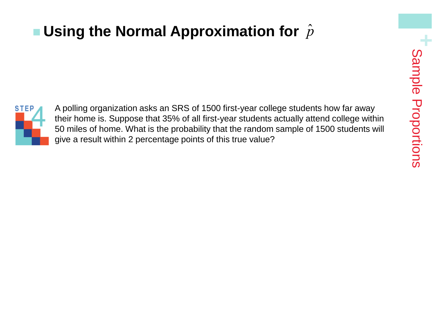### ■ Using the Normal Approximation for  $\hat{p}$



A polling organization asks an SRS of 1500 first-year college students how far away their home is. Suppose that 35% of all first-year students actually attend college within 50 miles of home. What is the probability that the random sample of 1500 students will give a result within 2 percentage points of this true value?